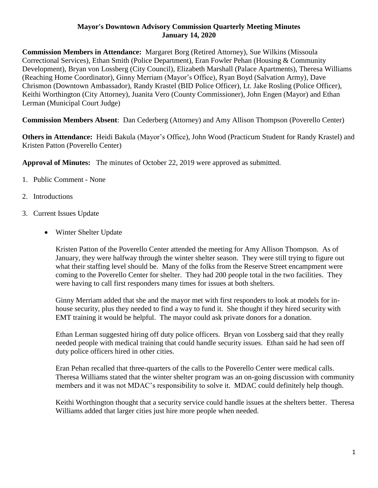## **Mayor's Downtown Advisory Commission Quarterly Meeting Minutes January 14, 2020**

**Commission Members in Attendance:** Margaret Borg (Retired Attorney), Sue Wilkins (Missoula Correctional Services), Ethan Smith (Police Department), Eran Fowler Pehan (Housing & Community Development), Bryan von Lossberg (City Council), Elizabeth Marshall (Palace Apartments), Theresa Williams (Reaching Home Coordinator), Ginny Merriam (Mayor's Office), Ryan Boyd (Salvation Army), Dave Chrismon (Downtown Ambassador), Randy Krastel (BID Police Officer), Lt. Jake Rosling (Police Officer), Keithi Worthington (City Attorney), Juanita Vero (County Commissioner), John Engen (Mayor) and Ethan Lerman (Municipal Court Judge)

**Commission Members Absent**: Dan Cederberg (Attorney) and Amy Allison Thompson (Poverello Center)

**Others in Attendance:** Heidi Bakula (Mayor's Office), John Wood (Practicum Student for Randy Krastel) and Kristen Patton (Poverello Center)

**Approval of Minutes:** The minutes of October 22, 2019 were approved as submitted.

- 1. Public Comment None
- 2. Introductions
- 3. Current Issues Update
	- Winter Shelter Update

Kristen Patton of the Poverello Center attended the meeting for Amy Allison Thompson. As of January, they were halfway through the winter shelter season. They were still trying to figure out what their staffing level should be. Many of the folks from the Reserve Street encampment were coming to the Poverello Center for shelter. They had 200 people total in the two facilities. They were having to call first responders many times for issues at both shelters.

Ginny Merriam added that she and the mayor met with first responders to look at models for inhouse security, plus they needed to find a way to fund it. She thought if they hired security with EMT training it would be helpful. The mayor could ask private donors for a donation.

Ethan Lerman suggested hiring off duty police officers. Bryan von Lossberg said that they really needed people with medical training that could handle security issues. Ethan said he had seen off duty police officers hired in other cities.

Eran Pehan recalled that three-quarters of the calls to the Poverello Center were medical calls. Theresa Williams stated that the winter shelter program was an on-going discussion with community members and it was not MDAC's responsibility to solve it. MDAC could definitely help though.

Keithi Worthington thought that a security service could handle issues at the shelters better. Theresa Williams added that larger cities just hire more people when needed.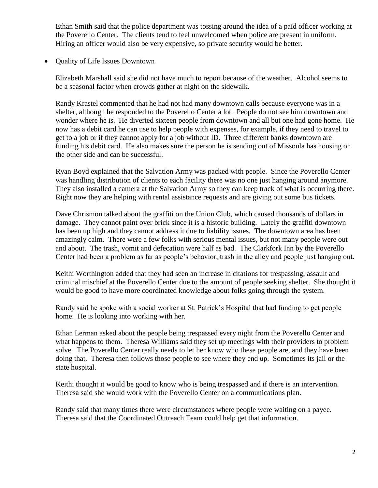Ethan Smith said that the police department was tossing around the idea of a paid officer working at the Poverello Center. The clients tend to feel unwelcomed when police are present in uniform. Hiring an officer would also be very expensive, so private security would be better.

Quality of Life Issues Downtown

Elizabeth Marshall said she did not have much to report because of the weather. Alcohol seems to be a seasonal factor when crowds gather at night on the sidewalk.

Randy Krastel commented that he had not had many downtown calls because everyone was in a shelter, although he responded to the Poverello Center a lot. People do not see him downtown and wonder where he is. He diverted sixteen people from downtown and all but one had gone home. He now has a debit card he can use to help people with expenses, for example, if they need to travel to get to a job or if they cannot apply for a job without ID. Three different banks downtown are funding his debit card. He also makes sure the person he is sending out of Missoula has housing on the other side and can be successful.

Ryan Boyd explained that the Salvation Army was packed with people. Since the Poverello Center was handling distribution of clients to each facility there was no one just hanging around anymore. They also installed a camera at the Salvation Army so they can keep track of what is occurring there. Right now they are helping with rental assistance requests and are giving out some bus tickets.

Dave Chrismon talked about the graffiti on the Union Club, which caused thousands of dollars in damage. They cannot paint over brick since it is a historic building. Lately the graffiti downtown has been up high and they cannot address it due to liability issues. The downtown area has been amazingly calm. There were a few folks with serious mental issues, but not many people were out and about. The trash, vomit and defecation were half as bad. The Clarkfork Inn by the Poverello Center had been a problem as far as people's behavior, trash in the alley and people just hanging out.

Keithi Worthington added that they had seen an increase in citations for trespassing, assault and criminal mischief at the Poverello Center due to the amount of people seeking shelter. She thought it would be good to have more coordinated knowledge about folks going through the system.

Randy said he spoke with a social worker at St. Patrick's Hospital that had funding to get people home. He is looking into working with her.

Ethan Lerman asked about the people being trespassed every night from the Poverello Center and what happens to them. Theresa Williams said they set up meetings with their providers to problem solve. The Poverello Center really needs to let her know who these people are, and they have been doing that. Theresa then follows those people to see where they end up. Sometimes its jail or the state hospital.

Keithi thought it would be good to know who is being trespassed and if there is an intervention. Theresa said she would work with the Poverello Center on a communications plan.

Randy said that many times there were circumstances where people were waiting on a payee. Theresa said that the Coordinated Outreach Team could help get that information.